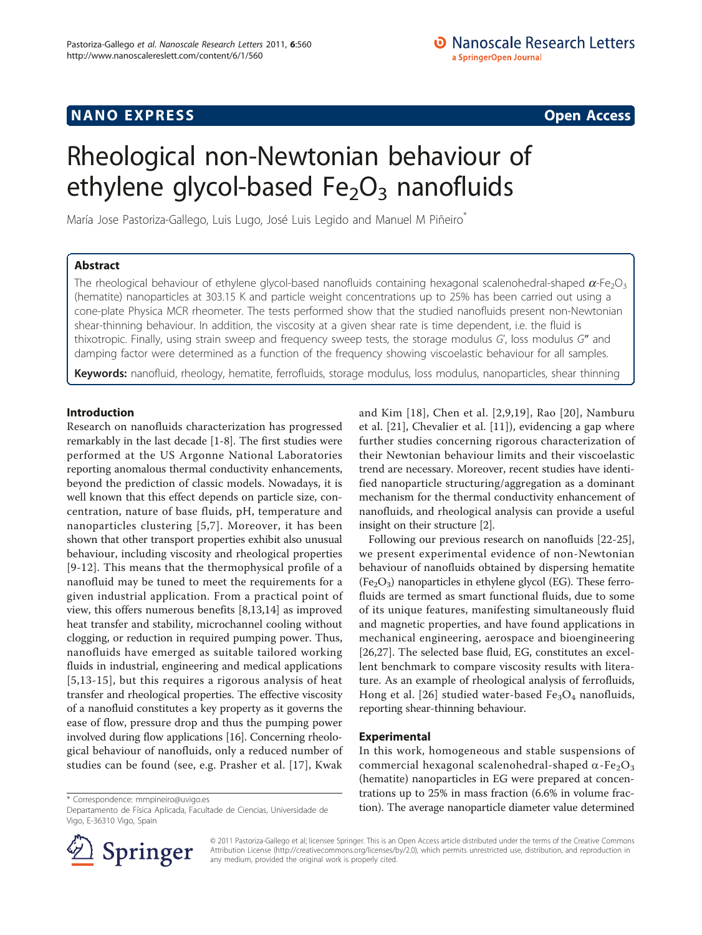## **NANO EXPRESS** Open Access and the set of the set of the set of the set of the set of the set of the set of the set of the set of the set of the set of the set of the set of the set of the set of the set of the set of the

# Rheological non-Newtonian behaviour of ethylene glycol-based  $Fe<sub>2</sub>O<sub>3</sub>$  nanofluids

María Jose Pastoriza-Gallego, Luis Lugo, José Luis Legido and Manuel M Piñeiro<sup>\*</sup>

#### Abstract

The rheological behaviour of ethylene glycol-based nanofluids containing hexagonal scalenohedral-shaped  $\alpha$ -Fe<sub>2</sub>O<sub>3</sub> (hematite) nanoparticles at 303.15 K and particle weight concentrations up to 25% has been carried out using a cone-plate Physica MCR rheometer. The tests performed show that the studied nanofluids present non-Newtonian shear-thinning behaviour. In addition, the viscosity at a given shear rate is time dependent, i.e. the fluid is thixotropic. Finally, using strain sweep and frequency sweep tests, the storage modulus G', loss modulus G″ and damping factor were determined as a function of the frequency showing viscoelastic behaviour for all samples.

Keywords: nanofluid, rheology, hematite, ferrofluids, storage modulus, loss modulus, nanoparticles, shear thinning

#### Introduction

Research on nanofluids characterization has progressed remarkably in the last decade [[1](#page-5-0)-[8\]](#page-5-0). The first studies were performed at the US Argonne National Laboratories reporting anomalous thermal conductivity enhancements, beyond the prediction of classic models. Nowadays, it is well known that this effect depends on particle size, concentration, nature of base fluids, pH, temperature and nanoparticles clustering [[5,7](#page-5-0)]. Moreover, it has been shown that other transport properties exhibit also unusual behaviour, including viscosity and rheological properties [[9](#page-5-0)-[12](#page-5-0)]. This means that the thermophysical profile of a nanofluid may be tuned to meet the requirements for a given industrial application. From a practical point of view, this offers numerous benefits [[8,13](#page-5-0),[14](#page-5-0)] as improved heat transfer and stability, microchannel cooling without clogging, or reduction in required pumping power. Thus, nanofluids have emerged as suitable tailored working fluids in industrial, engineering and medical applications [[5](#page-5-0),[13](#page-5-0)-[15](#page-5-0)], but this requires a rigorous analysis of heat transfer and rheological properties. The effective viscosity of a nanofluid constitutes a key property as it governs the ease of flow, pressure drop and thus the pumping power involved during flow applications [[16](#page-5-0)]. Concerning rheological behaviour of nanofluids, only a reduced number of studies can be found (see, e.g. Prasher et al. [[17\]](#page-5-0), Kwak

Departamento de Física Aplicada, Facultade de Ciencias, Universidade de Vigo, E-36310 Vigo, Spain

and Kim [[18\]](#page-5-0), Chen et al. [[2](#page-5-0),[9,19\]](#page-5-0), Rao [\[20\]](#page-5-0), Namburu et al. [\[21](#page-5-0)], Chevalier et al. [[11\]](#page-5-0)), evidencing a gap where further studies concerning rigorous characterization of their Newtonian behaviour limits and their viscoelastic trend are necessary. Moreover, recent studies have identified nanoparticle structuring/aggregation as a dominant mechanism for the thermal conductivity enhancement of nanofluids, and rheological analysis can provide a useful insight on their structure [\[2\]](#page-5-0).

Following our previous research on nanofluids [[22-25](#page-5-0)], we present experimental evidence of non-Newtonian behaviour of nanofluids obtained by dispersing hematite  $(Fe<sub>2</sub>O<sub>3</sub>)$  nanoparticles in ethylene glycol (EG). These ferrofluids are termed as smart functional fluids, due to some of its unique features, manifesting simultaneously fluid and magnetic properties, and have found applications in mechanical engineering, aerospace and bioengineering [[26,27\]](#page-5-0). The selected base fluid, EG, constitutes an excellent benchmark to compare viscosity results with literature. As an example of rheological analysis of ferrofluids, Hong et al. [\[26\]](#page-5-0) studied water-based  $Fe<sub>3</sub>O<sub>4</sub>$  nanofluids, reporting shear-thinning behaviour.

#### Experimental

In this work, homogeneous and stable suspensions of commercial hexagonal scalenohedral-shaped  $\alpha$ -Fe<sub>2</sub>O<sub>3</sub> (hematite) nanoparticles in EG were prepared at concentrations up to 25% in mass fraction (6.6% in volume frac\* Correspondence: [mmpineiro@uvigo.es](mailto:mmpineiro@uvigo.es)<br>Departamento de Física Aplicada, Facultade de Ciencias, Universidade de **tion). The average nanoparticle diameter value determined** 



© 2011 Pastoriza-Gallego et al; licensee Springer. This is an Open Access article distributed under the terms of the Creative Commons Attribution License [\(http://creativecommons.org/licenses/by/2.0](http://creativecommons.org/licenses/by/2.0)), which permits unrestricted use, distribution, and reproduction in any medium, provided the original work is properly cited.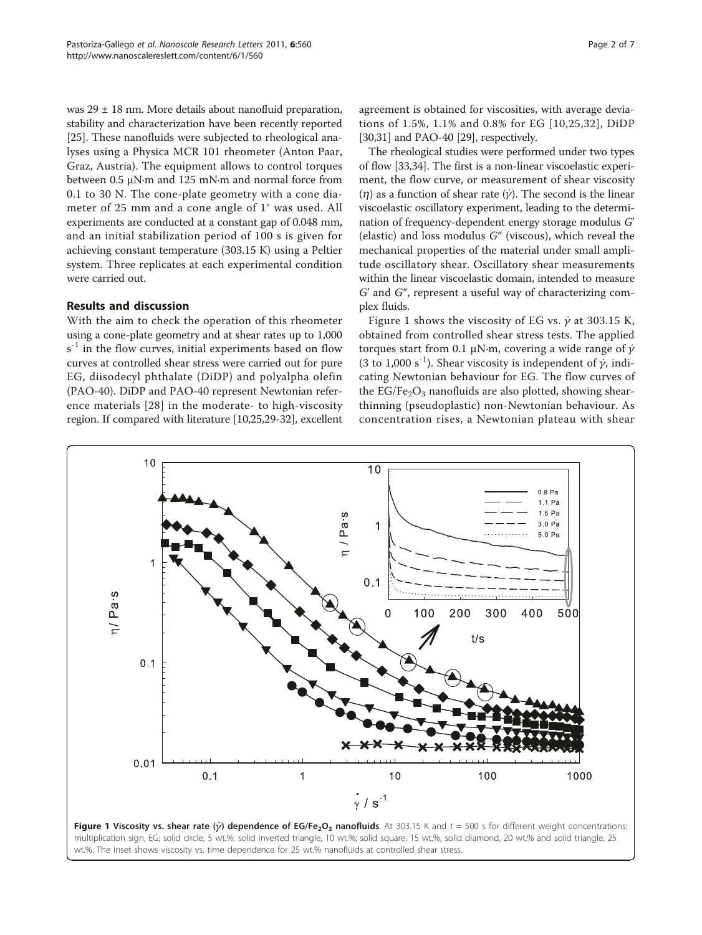<span id="page-1-0"></span>was 29 ± 18 nm. More details about nanofluid preparation, stability and characterization have been recently reported [[25\]](#page-5-0). These nanofluids were subjected to rheological analyses using a Physica MCR 101 rheometer (Anton Paar, Graz, Austria). The equipment allows to control torques between 0.5 μN·m and 125 mN·m and normal force from 0.1 to 30 N. The cone-plate geometry with a cone diameter of 25 mm and a cone angle of 1° was used. All experiments are conducted at a constant gap of 0.048 mm, and an initial stabilization period of 100 s is given for achieving constant temperature (303.15 K) using a Peltier system. Three replicates at each experimental condition were carried out.

#### Results and discussion

With the aim to check the operation of this rheometer using a cone-plate geometry and at shear rates up to 1,000 s<sup>-1</sup> in the flow curves, initial experiments based on flow curves at controlled shear stress were carried out for pure EG, diisodecyl phthalate (DiDP) and polyalpha olefin (PAO-40). DiDP and PAO-40 represent Newtonian reference materials [[28](#page-5-0)] in the moderate- to high-viscosity region. If compared with literature [\[10,25,29](#page-5-0)-[32](#page-5-0)], excellent agreement is obtained for viscosities, with average deviations of 1.5%, 1.1% and 0.8% for EG [[10,25,32\]](#page-5-0), DiDP [[30,31\]](#page-5-0) and PAO-40 [[29](#page-5-0)], respectively.

The rheological studies were performed under two types of flow [\[33](#page-5-0),[34](#page-5-0)]. The first is a non-linear viscoelastic experiment, the flow curve, or measurement of shear viscosity ( $\eta$ ) as a function of shear rate ( $\dot{\gamma}$ ). The second is the linear viscoelastic oscillatory experiment, leading to the determination of frequency-dependent energy storage modulus G' (elastic) and loss modulus G″ (viscous), which reveal the mechanical properties of the material under small amplitude oscillatory shear. Oscillatory shear measurements within the linear viscoelastic domain, intended to measure G' and G″, represent a useful way of characterizing complex fluids.

Figure 1 shows the viscosity of EG vs.  $\dot{v}$  at 303.15 K, obtained from controlled shear stress tests. The applied torques start from 0.1 μN·m, covering a wide range of  $\dot{\gamma}$ (3 to 1,000 s<sup>-1</sup>). Shear viscosity is independent of  $\dot{\gamma}$ , indicating Newtonian behaviour for EG. The flow curves of the EG/Fe<sub>2</sub>O<sub>3</sub> nanofluids are also plotted, showing shearthinning (pseudoplastic) non-Newtonian behaviour. As concentration rises, a Newtonian plateau with shear



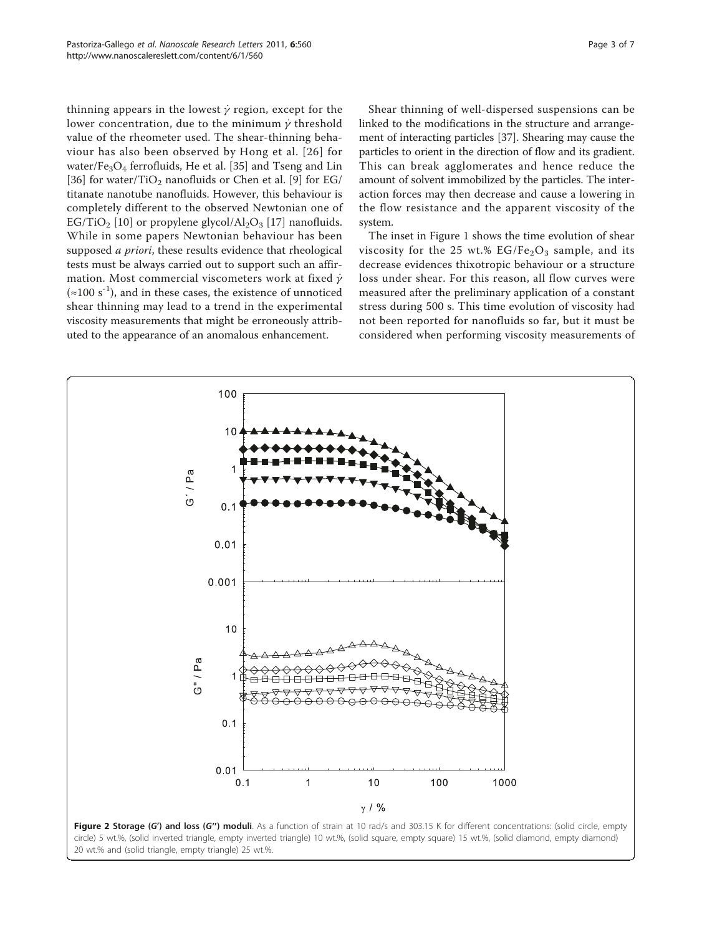<span id="page-2-0"></span>thinning appears in the lowest  $\dot{\gamma}$  region, except for the lower concentration, due to the minimum  $\dot{\gamma}$  threshold value of the rheometer used. The shear-thinning behaviour has also been observed by Hong et al. [[26](#page-5-0)] for water/Fe<sub>3</sub>O<sub>4</sub> ferrofluids, He et al. [[35\]](#page-6-0) and Tseng and Lin [[36\]](#page-6-0) for water/TiO<sub>2</sub> nanofluids or Chen et al. [\[9](#page-5-0)] for EG/ titanate nanotube nanofluids. However, this behaviour is completely different to the observed Newtonian one of EG/TiO<sub>2</sub> [[10\]](#page-5-0) or propylene glycol/Al<sub>2</sub>O<sub>3</sub> [\[17](#page-5-0)] nanofluids. While in some papers Newtonian behaviour has been supposed *a priori*, these results evidence that rheological tests must be always carried out to support such an affirmation. Most commercial viscometers work at fixed  $\dot{\gamma}$  $(\approx 100 \text{ s}^{-1})$ , and in these cases, the existence of unnoticed shear thinning may lead to a trend in the experimental viscosity measurements that might be erroneously attributed to the appearance of an anomalous enhancement.

Shear thinning of well-dispersed suspensions can be linked to the modifications in the structure and arrangement of interacting particles [\[37](#page-6-0)]. Shearing may cause the particles to orient in the direction of flow and its gradient. This can break agglomerates and hence reduce the amount of solvent immobilized by the particles. The interaction forces may then decrease and cause a lowering in the flow resistance and the apparent viscosity of the system.

The inset in Figure [1](#page-1-0) shows the time evolution of shear viscosity for the 25 wt.%  $EG/Fe<sub>2</sub>O<sub>3</sub>$  sample, and its decrease evidences thixotropic behaviour or a structure loss under shear. For this reason, all flow curves were measured after the preliminary application of a constant stress during 500 s. This time evolution of viscosity had not been reported for nanofluids so far, but it must be considered when performing viscosity measurements of

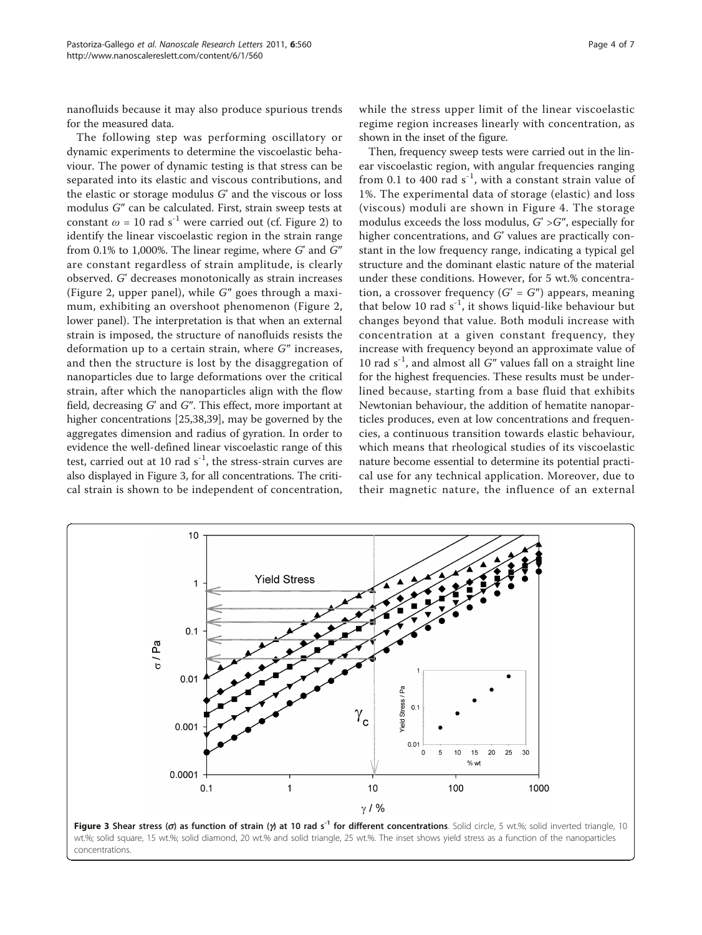nanofluids because it may also produce spurious trends for the measured data.

The following step was performing oscillatory or dynamic experiments to determine the viscoelastic behaviour. The power of dynamic testing is that stress can be separated into its elastic and viscous contributions, and the elastic or storage modulus G' and the viscous or loss modulus G″ can be calculated. First, strain sweep tests at constant  $\omega = 10$  rad s<sup>-1</sup> were carried out (cf. Figure [2](#page-2-0)) to identify the linear viscoelastic region in the strain range from 0.1% to 1,000%. The linear regime, where  $G'$  and  $G''$ are constant regardless of strain amplitude, is clearly observed. G' decreases monotonically as strain increases (Figure [2](#page-2-0), upper panel), while G″ goes through a maximum, exhibiting an overshoot phenomenon (Figure [2](#page-2-0), lower panel). The interpretation is that when an external strain is imposed, the structure of nanofluids resists the deformation up to a certain strain, where G″ increases, and then the structure is lost by the disaggregation of nanoparticles due to large deformations over the critical strain, after which the nanoparticles align with the flow field, decreasing G' and G″. This effect, more important at higher concentrations [[25](#page-5-0)[,38,39](#page-6-0)], may be governed by the aggregates dimension and radius of gyration. In order to evidence the well-defined linear viscoelastic range of this test, carried out at 10 rad  $s^{-1}$ , the stress-strain curves are also displayed in Figure 3, for all concentrations. The critical strain is shown to be independent of concentration, while the stress upper limit of the linear viscoelastic regime region increases linearly with concentration, as shown in the inset of the figure.

Then, frequency sweep tests were carried out in the linear viscoelastic region, with angular frequencies ranging from 0.1 to 400 rad  $s^{-1}$ , with a constant strain value of 1%. The experimental data of storage (elastic) and loss (viscous) moduli are shown in Figure [4](#page-4-0). The storage modulus exceeds the loss modulus,  $G' > G''$ , especially for higher concentrations, and G' values are practically constant in the low frequency range, indicating a typical gel structure and the dominant elastic nature of the material under these conditions. However, for 5 wt.% concentration, a crossover frequency  $(G' = G'')$  appears, meaning that below 10 rad  $s^{-1}$ , it shows liquid-like behaviour but changes beyond that value. Both moduli increase with concentration at a given constant frequency, they increase with frequency beyond an approximate value of 10 rad  $s^{-1}$ , and almost all G" values fall on a straight line for the highest frequencies. These results must be underlined because, starting from a base fluid that exhibits Newtonian behaviour, the addition of hematite nanoparticles produces, even at low concentrations and frequencies, a continuous transition towards elastic behaviour, which means that rheological studies of its viscoelastic nature become essential to determine its potential practical use for any technical application. Moreover, due to their magnetic nature, the influence of an external

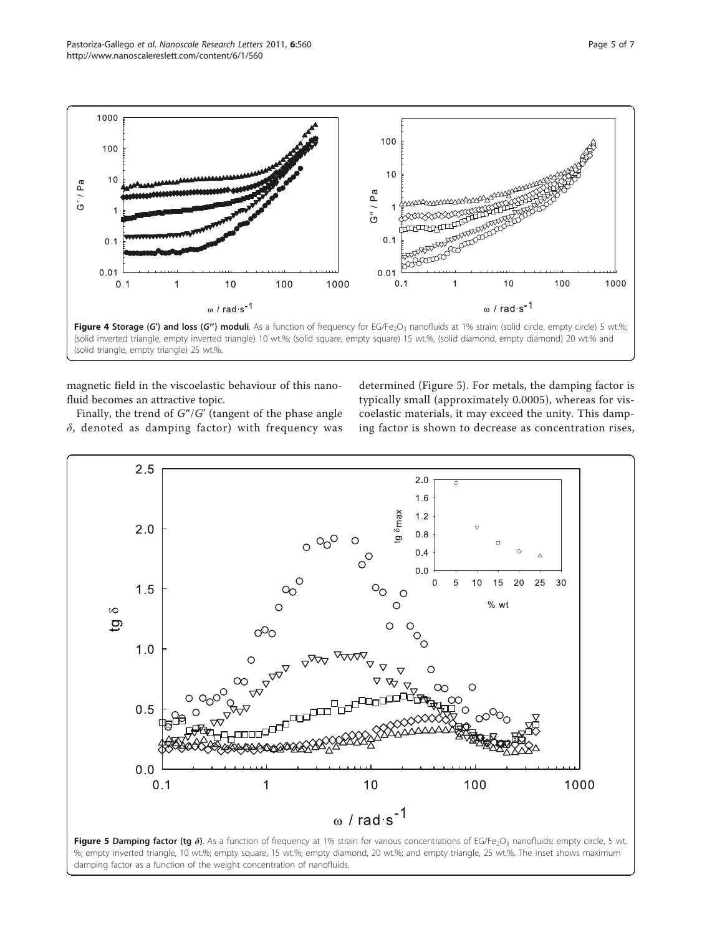

<span id="page-4-0"></span>

(solid triangle, empty triangle) 25 wt.%.

magnetic field in the viscoelastic behaviour of this nanofluid becomes an attractive topic.

determined (Figure 5). For metals, the damping factor is typically small (approximately 0.0005), whereas for viscoelastic materials, it may exceed the unity. This damping factor is shown to decrease as concentration rises,

Finally, the trend of  $G''/G'$  (tangent of the phase angle  $\delta$ , denoted as damping factor) with frequency was



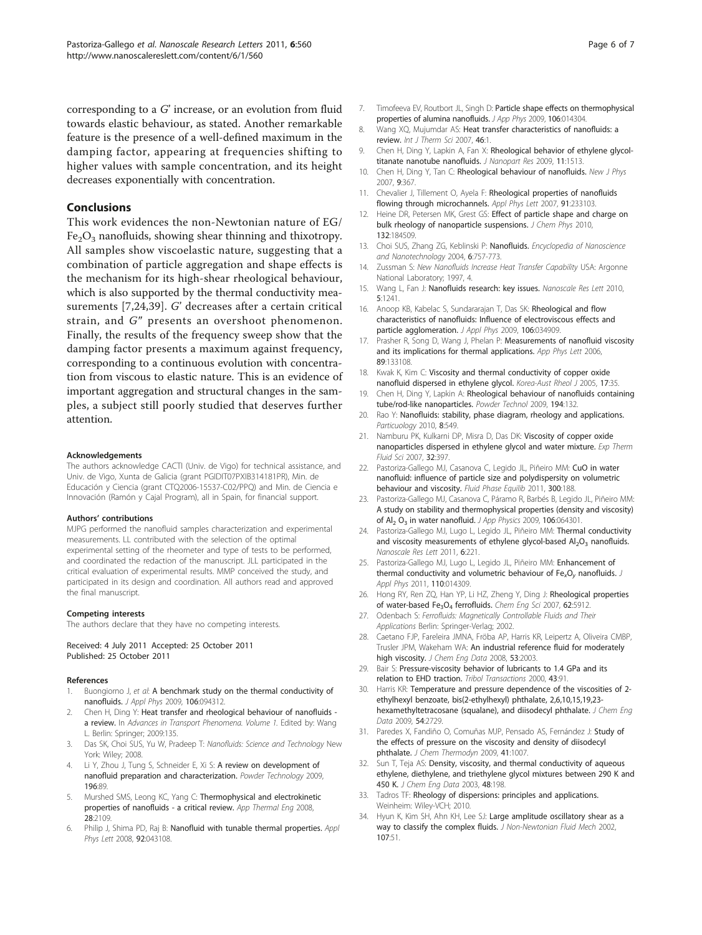<span id="page-5-0"></span>corresponding to a G' increase, or an evolution from fluid towards elastic behaviour, as stated. Another remarkable feature is the presence of a well-defined maximum in the damping factor, appearing at frequencies shifting to higher values with sample concentration, and its height decreases exponentially with concentration.

#### **Conclusions**

This work evidences the non-Newtonian nature of EG/  $Fe<sub>2</sub>O<sub>3</sub>$  nanofluids, showing shear thinning and thixotropy. All samples show viscoelastic nature, suggesting that a combination of particle aggregation and shape effects is the mechanism for its high-shear rheological behaviour, which is also supported by the thermal conductivity measurements [7,24[,39](#page-6-0)]. G' decreases after a certain critical strain, and G″ presents an overshoot phenomenon. Finally, the results of the frequency sweep show that the damping factor presents a maximum against frequency, corresponding to a continuous evolution with concentration from viscous to elastic nature. This is an evidence of important aggregation and structural changes in the samples, a subject still poorly studied that deserves further attention.

#### Acknowledgements

The authors acknowledge CACTI (Univ. de Vigo) for technical assistance, and Univ. de Vigo, Xunta de Galicia (grant PGIDIT07PXIB314181PR), Min. de Educación y Ciencia (grant CTQ2006-15537-C02/PPQ) and Min. de Ciencia e Innovación (Ramón y Cajal Program), all in Spain, for financial support.

#### Authors' contributions

MJPG performed the nanofluid samples characterization and experimental measurements. LL contributed with the selection of the optimal experimental setting of the rheometer and type of tests to be performed, and coordinated the redaction of the manuscript. JLL participated in the critical evaluation of experimental results. MMP conceived the study, and participated in its design and coordination. All authors read and approved the final manuscript.

#### Competing interests

The authors declare that they have no competing interests.

Received: 4 July 2011 Accepted: 25 October 2011 Published: 25 October 2011

#### References

- Buongiorno J, et al: A benchmark study on the thermal conductivity of nanofluids. J Appl Phys 2009, 106:094312.
- 2. Chen H, Ding Y: Heat transfer and rheological behaviour of nanofluids a review. In Advances in Transport Phenomena. Volume 1. Edited by: Wang L. Berlin: Springer; 2009:135.
- 3. Das SK, Choi SUS, Yu W, Pradeep T: Nanofluids: Science and Technology New York: Wiley; 2008.
- 4. Li Y, Zhou J, Tung S, Schneider E, Xi S: A review on development of nanofluid preparation and characterization. Powder Technology 2009, 196:89.
- Murshed SMS, Leong KC, Yang C: Thermophysical and electrokinetic properties of nanofluids - a critical review. App Thermal Eng 2008, 28:2109.
- Philip J, Shima PD, Raj B: Nanofluid with tunable thermal properties. Appl Phys Lett 2008, 92:043108.
- 7. Timofeeva EV, Routbort JL, Singh D: Particle shape effects on thermophysical properties of alumina nanofluids. J App Phys 2009, 106:014304.
- 8. Wang XO, Mujumdar AS: Heat transfer characteristics of nanofluids: a review. Int J Therm Sci 2007, 46:1.
- 9. Chen H, Ding Y, Lapkin A, Fan X: Rheological behavior of ethylene glycoltitanate nanotube nanofluids. J Nanopart Res 2009, 11:1513.
- 10. Chen H, Ding Y, Tan C: Rheological behaviour of nanofluids. New J Phys 2007, 9:367.
- 11. Chevalier J, Tillement O, Ayela F: Rheological properties of nanofluids flowing through microchannels. Appl Phys Lett 2007, 91:233103.
- 12. Heine DR, Petersen MK, Grest GS: Effect of particle shape and charge on bulk rheology of nanoparticle suspensions. J Chem Phys 2010, 132:184509.
- 13. Choi SUS, Zhang ZG, Keblinski P: Nanofluids. Encyclopedia of Nanoscience and Nanotechnology 2004, 6:757-773.
- 14. Zussman S: New Nanofluids Increase Heat Transfer Capability USA: Argonne National Laboratory; 1997, 4.
- 15. Wang L, Fan J: [Nanofluids research: key issues.](http://www.ncbi.nlm.nih.gov/pubmed/20676214?dopt=Abstract) Nanoscale Res Lett 2010, 5:1241.
- 16. Anoop KB, Kabelac S, Sundararajan T, Das SK: Rheological and flow characteristics of nanofluids: Influence of electroviscous effects and particle agglomeration. J Appl Phys 2009, 106:034909.
- 17. Prasher R, Song D, Wang J, Phelan P: Measurements of nanofluid viscosity and its implications for thermal applications. App Phys Lett 2006, 89:133108.
- 18. Kwak K, Kim C: Viscosity and thermal conductivity of copper oxide nanofluid dispersed in ethylene glycol. Korea-Aust Rheol J 2005, 17:35.
- 19. Chen H, Ding Y, Lapkin A: Rheological behaviour of nanofluids containing tube/rod-like nanoparticles. Powder Technol 2009, 194:132.
- 20. Rao Y: Nanofluids: stability, phase diagram, rheology and applications. Particuology 2010, 8:549.
- 21. Namburu PK, Kulkarni DP, Misra D, Das DK: Viscosity of copper oxide nanoparticles dispersed in ethylene glycol and water mixture. Exp Therm Fluid Sci 2007, 32:397.
- 22. Pastoriza-Gallego MJ, Casanova C, Legido JL, Piñeiro MM: CuO in water nanofluid: influence of particle size and polydispersity on volumetric behaviour and viscosity. Fluid Phase Equilib 2011, 300:188.
- 23. Pastoriza-Gallego MJ, Casanova C, Páramo R, Barbés B, Legido JL, Piñeiro MM: A study on stability and thermophysical properties (density and viscosity) of Al<sub>2</sub> O<sub>3</sub> in water nanofluid. *J App Physics* 2009, 106:064301.
- 24. Pastoriza-Gallego MJ, Lugo L, Legido JL, Piñeiro MM: [Thermal conductivity](http://www.ncbi.nlm.nih.gov/pubmed/21711737?dopt=Abstract) and viscosity measurements of ethylene glycol-based  $Al_2O_3$  [nanofluids.](http://www.ncbi.nlm.nih.gov/pubmed/21711737?dopt=Abstract) Nanoscale Res Lett 2011, 6:221.
- 25. Pastoriza-Gallego MJ, Lugo L, Legido JL, Piñeiro MM: Enhancement of thermal conductivity and volumetric behaviour of  $Fe<sub>x</sub>O<sub>v</sub>$  nanofluids. J Appl Phys 2011, 110:014309.
- 26. Hong RY, Ren ZQ, Han YP, Li HZ, Zheng Y, Ding J: Rheological properties of water-based Fe<sub>3</sub>O<sub>4</sub> ferrofluids. Chem Eng Sci 2007, 62:5912.
- 27. Odenbach S: Ferrofluids: Magnetically Controllable Fluids and Their Applications Berlin: Springer-Verlag; 2002.
- 28. Caetano FJP, Fareleira JMNA, Fröba AP, Harris KR, Leipertz A, Oliveira CMBP, Trusler JPM, Wakeham WA: An industrial reference fluid for moderately high viscosity. J Chem Eng Data 2008, 53:2003.
- 29. Bair S: Pressure-viscosity behavior of lubricants to 1.4 GPa and its relation to EHD traction. Tribol Transactions 2000, 43:91.
- 30. Harris KR: Temperature and pressure dependence of the viscosities of 2 ethylhexyl benzoate, bis(2-ethylhexyl) phthalate, 2,6,10,15,19,23 hexamethyltetracosane (squalane), and diisodecyl phthalate. J Chem Eng Data 2009, 54:2729.
- 31. Paredes X, Fandiño O, Comuñas MJP, Pensado AS, Fernández J: Study of the effects of pressure on the viscosity and density of diisodecyl phthalate. J Chem Thermodyn 2009, 41:1007.
- 32. Sun T, Teja AS: Density, viscosity, and thermal conductivity of aqueous ethylene, diethylene, and triethylene glycol mixtures between 290 K and 450 K. J Chem Eng Data 2003, 48:198.
- 33. Tadros TF: Rheology of dispersions: principles and applications. Weinheim: Wiley-VCH; 2010.
- Hyun K, Kim SH, Ahn KH, Lee SJ: Large amplitude oscillatory shear as a way to classify the complex fluids. J Non-Newtonian Fluid Mech 2002, 107:51.